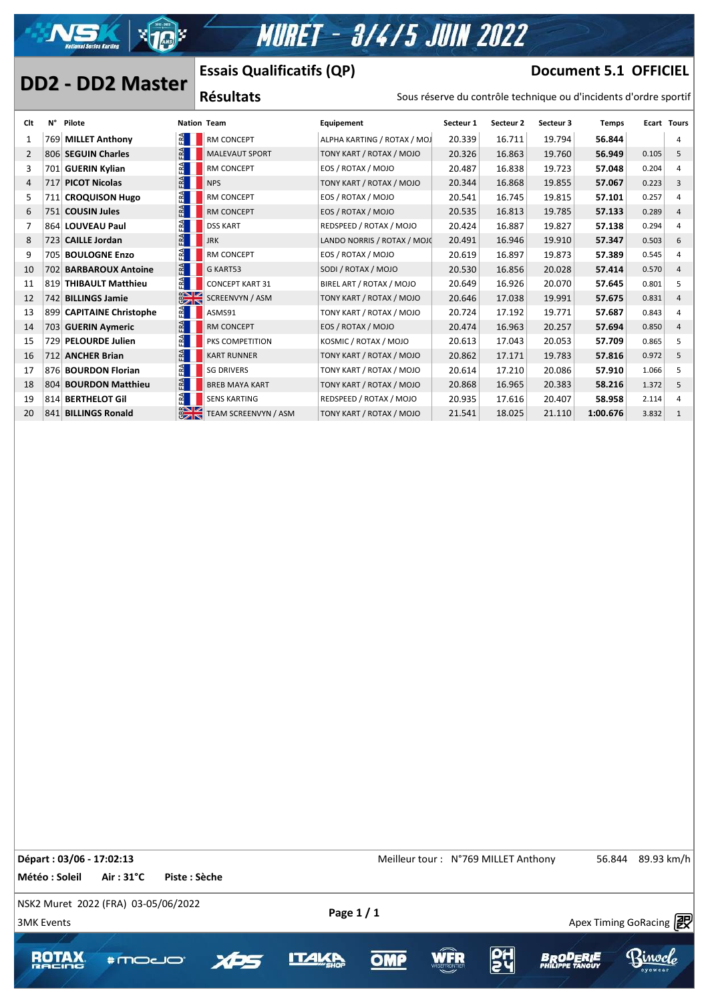

# **MURET - 3/4/5 JUIN 2022**

### **Essais Qualificatifs (QP)**

#### **Document 5.1 OFFICIEL**

|                |     | <b>DD2 - DD2 Master</b>  |                  | LSSAIS QUAIIIICALIIS (QF) |                             |           |           |           | DOCUMENT 3'T ALLICITE                                             |       |                |
|----------------|-----|--------------------------|------------------|---------------------------|-----------------------------|-----------|-----------|-----------|-------------------------------------------------------------------|-------|----------------|
|                |     |                          |                  | <b>Résultats</b>          |                             |           |           |           | Sous réserve du contrôle technique ou d'incidents d'ordre sportif |       |                |
| Clt            | N°  | Pilote                   |                  | <b>Nation Team</b>        | Equipement                  | Secteur 1 | Secteur 2 | Secteur 3 | <b>Temps</b>                                                      |       | Ecart Tours    |
| 1              |     | 769 MILLET Anthony       | ≧∎               | RM CONCEPT                | ALPHA KARTING / ROTAX / MOJ | 20.339    | 16.711    | 19.794    | 56.844                                                            |       | 4              |
| $\overline{2}$ |     | 806 SEGUIN Charles       | FRA              | <b>MALEVAUT SPORT</b>     | TONY KART / ROTAX / MOJO    | 20.326    | 16.863    | 19.760    | 56.949                                                            | 0.105 | 5              |
| 3              | 701 | <b>GUERIN Kylian</b>     |                  | RM CONCEPT                | EOS / ROTAX / MOJO          | 20.487    | 16.838    | 19.723    | 57.048                                                            | 0.204 | 4              |
| 4              | 717 | <b>PICOT Nicolas</b>     | FRA              | <b>NPS</b>                | TONY KART / ROTAX / MOJO    | 20.344    | 16.868    | 19.855    | 57.067                                                            | 0.223 | 3              |
| 5              | 711 | <b>CROQUISON Hugo</b>    | FA               | RM CONCEPT                | EOS / ROTAX / MOJO          | 20.541    | 16.745    | 19.815    | 57.101                                                            | 0.257 | 4              |
| 6              |     | 751 COUSIN Jules         | FA               | RM CONCEPT                | EOS / ROTAX / MOJO          | 20.535    | 16.813    | 19.785    | 57.133                                                            | 0.289 | 4              |
| 7              |     | 864 LOUVEAU Paul         | ř.               | <b>DSS KART</b>           | REDSPEED / ROTAX / MOJO     | 20.424    | 16.887    | 19.827    | 57.138                                                            | 0.294 | 4              |
| 8              |     | 723 CAILLE Jordan        | $E^{\mathbf{A}}$ | $\blacksquare$ JRK        | LANDO NORRIS / ROTAX / MOJO | 20.491    | 16.946    | 19.910    | 57.347                                                            | 0.503 | 6              |
| 9              |     | 705 BOULOGNE Enzo        | $\mathbb{R}$     | <b>RM CONCEPT</b>         | EOS / ROTAX / MOJO          | 20.619    | 16.897    | 19.873    | 57.389                                                            | 0.545 | 4              |
| 10             |     | 702 BARBAROUX Antoine    | $F^A$            | G KART53                  | SODI / ROTAX / MOJO         | 20.530    | 16.856    | 20.028    | 57.414                                                            | 0.570 | $\overline{4}$ |
| 11             |     | 819 THIBAULT Matthieu    | $F^A$            | <b>CONCEPT KART 31</b>    | BIREL ART / ROTAX / MOJO    | 20.649    | 16.926    | 20.070    | 57.645                                                            | 0.801 | 5              |
| 12             |     | 742 BILLINGS Jamie       |                  | SCREENVYN / ASM           | TONY KART / ROTAX / MOJO    | 20.646    | 17.038    | 19.991    | 57.675                                                            | 0.831 | 4              |
| 13             |     | 899 CAPITAINE Christophe | ř.               | ASMS91                    | TONY KART / ROTAX / MOJO    | 20.724    | 17.192    | 19.771    | 57.687                                                            | 0.843 | 4              |
| 14             |     | 703 GUERIN Aymeric       | FRA              | RM CONCEPT                | EOS / ROTAX / MOJO          | 20.474    | 16.963    | 20.257    | 57.694                                                            | 0.850 | 4              |
| 15             | 729 | <b>PELOURDE Julien</b>   | FA               | PKS COMPETITION           | KOSMIC / ROTAX / MOJO       | 20.613    | 17.043    | 20.053    | 57.709                                                            | 0.865 | 5              |
| 16             |     | 712 ANCHER Brian         | FA               | <b>KART RUNNER</b>        | TONY KART / ROTAX / MOJO    | 20.862    | 17.171    | 19.783    | 57.816                                                            | 0.972 | 5              |
| 17             |     | 876 BOURDON Florian      | FRA              | <b>SG DRIVERS</b>         | TONY KART / ROTAX / MOJO    | 20.614    | 17.210    | 20.086    | 57.910                                                            | 1.066 | 5              |
| 18             |     | 804 BOURDON Matthieu     | FRA              | <b>BREB MAYA KART</b>     | TONY KART / ROTAX / MOJO    | 20.868    | 16.965    | 20.383    | 58.216                                                            | 1.372 | 5              |
| 19             | 814 | <b>BERTHELOT Gil</b>     | FRA              | <b>SENS KARTING</b>       | REDSPEED / ROTAX / MOJO     | 20.935    | 17.616    | 20.407    | 58.958                                                            | 2.114 | $\overline{4}$ |
| 20             |     | 841 BILLINGS Ronald      |                  | TEAM SCREENVYN / ASM      | TONY KART / ROTAX / MOJO    | 21.541    | 18.025    | 21.110    | 1:00.676                                                          | 3.832 | 1              |
|                |     |                          |                  |                           |                             |           |           |           |                                                                   |       |                |

**Départ : 03/06 - 17:02:13 SEPART : 03/06 - 17:02:13 BELET Anthony BELET Anthony 56.844** 89.93 km/h **Météo : Soleil Air : 31°C Piste : Sèche** NSK2 Muret 2022 (FRA) 03-05/06/2022  $\frac{1}{3}$ MK Events Apex Timing GoRacing  $\frac{1}{2}$ **ROTA** #moco" **OMP** 

 $\mathcal{A}$  , and  $\mathcal{A}$  approximately success https://www.apex-timing.com/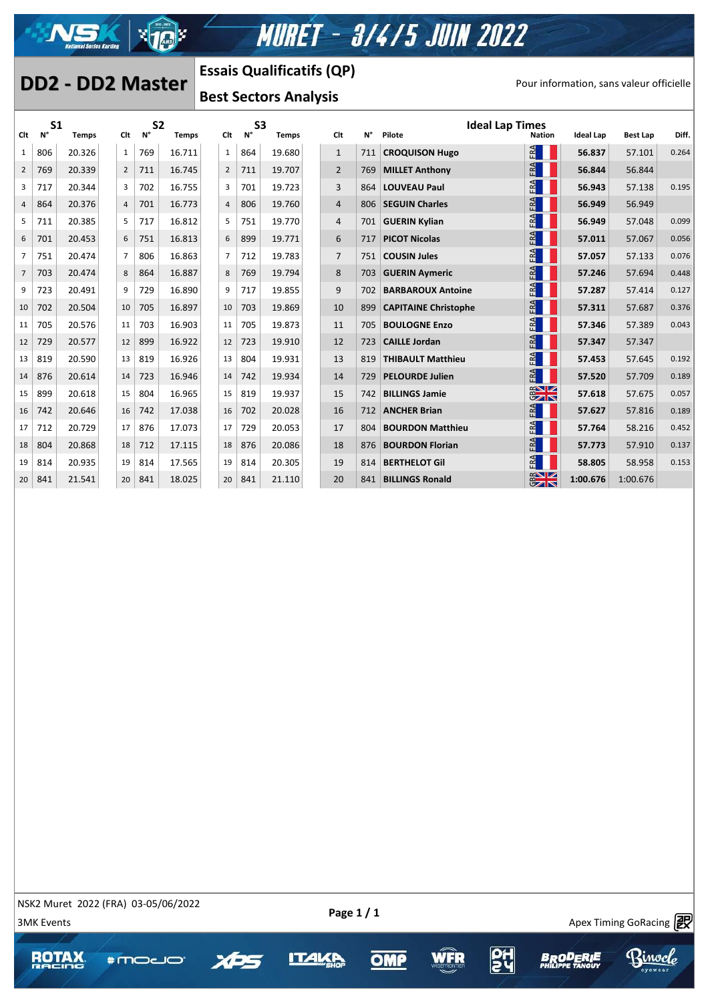

## **DD2 - DD2 Master Pour information, sans valeur officielle**

#### **Essais Qualificatifs (QP)**

|                |                      | <b>DD2 - DD2 Master</b> |                |                      |              |                |                      |                              | <b>Essais Qualificatifs (QP)</b> |                    |                                  |               |           | Pour information, sans valeur officielle |       |
|----------------|----------------------|-------------------------|----------------|----------------------|--------------|----------------|----------------------|------------------------------|----------------------------------|--------------------|----------------------------------|---------------|-----------|------------------------------------------|-------|
|                |                      |                         |                |                      |              |                |                      | <b>Best Sectors Analysis</b> |                                  |                    |                                  |               |           |                                          |       |
| Clt            | S <sub>1</sub><br>N° | <b>Temps</b>            | Clt            | S <sub>2</sub><br>N° | <b>Temps</b> | Clt            | S <sub>3</sub><br>N° | Temps                        | Clt                              | $\mathsf{N}^\circ$ | <b>Ideal Lap Times</b><br>Pilote | <b>Nation</b> | Ideal Lap | Best Lap                                 | Diff. |
| 1              | 806                  | 20.326                  | $\mathbf{1}$   | 769                  | 16.711       | $\mathbf{1}$   | 864                  | 19.680                       | 1                                | 711                | <b>CROQUISON Hugo</b>            | FRA           | 56.837    | 57.101                                   | 0.264 |
| $\overline{2}$ | 769                  | 20.339                  | $\overline{2}$ | 711                  | 16.745       | $\overline{2}$ | 711                  | 19.707                       | $\overline{2}$                   | 769                | <b>MILLET Anthony</b>            | FRA           | 56.844    | 56.844                                   |       |
| 3              | 717                  | 20.344                  | 3              | 702                  | 16.755       | 3              | 701                  | 19.723                       | 3                                | 864                | <b>LOUVEAU Paul</b>              | FRA           | 56.943    | 57.138                                   | 0.195 |
| 4              | 864                  | 20.376                  | $\overline{4}$ | 701                  | 16.773       | $\overline{4}$ | 806                  | 19.760                       | $\overline{4}$                   | 806                | <b>SEGUIN Charles</b>            | $E = 1$       | 56.949    | 56.949                                   |       |
| 5              | 711                  | 20.385                  | 5              | 717                  | 16.812       | 5              | 751                  | 19.770                       | $\overline{4}$                   | 701                | <b>GUERIN Kylian</b>             | FA            | 56.949    | 57.048                                   | 0.099 |
| 6              | 701                  | 20.453                  | 6              | 751                  | 16.813       | 6              | 899                  | 19.771                       | 6                                | 717                | <b>PICOT Nicolas</b>             | E             | 57.011    | 57.067                                   | 0.056 |
| $\overline{7}$ | 751                  | 20.474                  | $\overline{7}$ | 806                  | 16.863       | 7              | 712                  | 19.783                       | $\overline{7}$                   | 751                | <b>COUSIN Jules</b>              | FRA           | 57.057    | 57.133                                   | 0.076 |
| $\overline{7}$ | 703                  | 20.474                  | 8              | 864                  | 16.887       | 8              | 769                  | 19.794                       | 8                                | 703                | <b>GUERIN Aymeric</b>            | FRA           | 57.246    | 57.694                                   | 0.448 |
| 9              | 723                  | 20.491                  | 9              | 729                  | 16.890       | 9              | 717                  | 19.855                       | 9                                | 702                | <b>BARBAROUX Antoine</b>         | FRA           | 57.287    | 57.414                                   | 0.127 |
| 10             | 702                  | 20.504                  | 10             | 705                  | 16.897       | 10             | 703                  | 19.869                       | 10                               | 899                | <b>CAPITAINE Christophe</b>      | FRA           | 57.311    | 57.687                                   | 0.376 |
| 11             | 705                  | 20.576                  | 11             | 703                  | 16.903       | 11             | 705                  | 19.873                       | 11                               | 705                | <b>BOULOGNE Enzo</b>             | FRA           | 57.346    | 57.389                                   | 0.043 |
| 12             | 729                  | 20.577                  | 12             | 899                  | 16.922       | 12             | 723                  | 19.910                       | 12                               | 723                | <b>CAILLE Jordan</b>             | FRA           | 57.347    | 57.347                                   |       |
| 13             | 819                  | 20.590                  | 13             | 819                  | 16.926       | 13             | 804                  | 19.931                       | 13                               | 819                | <b>THIBAULT Matthieu</b>         | FRA           | 57.453    | 57.645                                   | 0.192 |
| 14             | 876                  | 20.614                  | 14             | 723                  | 16.946       | 14             | 742                  | 19.934                       | 14                               | 729                | <b>PELOURDE Julien</b>           | FRA           | 57.520    | 57.709                                   | 0.189 |
| 15             | 899                  | 20.618                  | 15             | 804                  | 16.965       | 15             | 819                  | 19.937                       | 15                               | 742                | <b>BILLINGS Jamie</b>            | $\frac{1}{2}$ | 57.618    | 57.675                                   | 0.057 |
| 16             | 742                  | 20.646                  | 16             | 742                  | 17.038       | 16             | 702                  | 20.028                       | 16                               | 712                | <b>ANCHER Brian</b>              | FRA           | 57.627    | 57.816                                   | 0.189 |
| 17             | 712                  | 20.729                  | 17             | 876                  | 17.073       | 17             | 729                  | 20.053                       | 17                               | 804                | <b>BOURDON Matthieu</b>          | FA            | 57.764    | 58.216                                   | 0.452 |
| 18             | 804                  | 20.868                  | 18             | 712                  | 17.115       | 18             | 876                  | 20.086                       | 18                               | 876                | <b>BOURDON Florian</b>           | FA            | 57.773    | 57.910                                   | 0.137 |
| 19             | 814                  | 20.935                  | 19             | 814                  | 17.565       | 19             | 814                  | 20.305                       | 19                               | 814                | <b>BERTHELOT Gil</b>             | FA            | 58.805    | 58.958                                   | 0.153 |
| 20             | 841                  | 21.541                  | 20             | 841                  | 18.025       | 20             | 841                  | 21.110                       | 20                               | 841                | <b>BILLINGS Ronald</b>           | $\frac{1}{2}$ | 1:00.676  | 1:00.676                                 |       |

NSK2 Muret 2022 (FRA) 03-05/06/2022

**ROTAX** 

 $\mathcal{A}$  , and  $\mathcal{A}$  approximately success https://www.apex-timing.com/

**\*moco** 

**OMP** 

**1T41** 

 $\frac{30}{20}$  and  $\frac{30}{20}$  and  $\frac{30}{20}$  and  $\frac{30}{20}$  and  $\frac{30}{20}$  and  $\frac{30}{20}$  and  $\frac{30}{20}$  and  $\frac{30}{20}$  and  $\frac{30}{20}$  and  $\frac{30}{20}$  and  $\frac{30}{20}$  and  $\frac{30}{20}$  and  $\frac{30}{20}$  and  $\frac{30}{20}$  a

**OD**